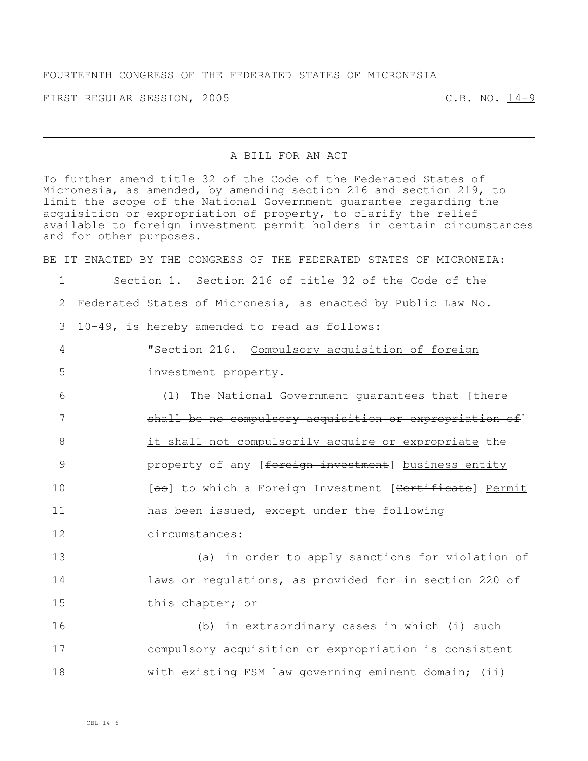FIRST REGULAR SESSION, 2005 C.B. NO. 14-9

## A BILL FOR AN ACT

To further amend title 32 of the Code of the Federated States of Micronesia, as amended, by amending section 216 and section 219, to limit the scope of the National Government guarantee regarding the acquisition or expropriation of property, to clarify the relief available to foreign investment permit holders in certain circumstances and for other purposes.

BE IT ENACTED BY THE CONGRESS OF THE FEDERATED STATES OF MICRONEIA: Section 1. Section 216 of title 32 of the Code of the Federated States of Micronesia, as enacted by Public Law No. 10-49, is hereby amended to read as follows: "Section 216. Compulsory acquisition of foreign investment property. 6 (1) The National Government guarantees that [there 7 3 shall be no compulsory acquisition or expropriation of it shall not compulsorily acquire or expropriate the **property of any** [foreign investment] business entity **10** [as] to which a Foreign Investment [<del>Certificate</del>] Permit has been issued, except under the following circumstances: (a) in order to apply sanctions for violation of laws or regulations, as provided for in section 220 of this chapter; or (b) in extraordinary cases in which (i) such compulsory acquisition or expropriation is consistent

18 with existing FSM law governing eminent domain; (ii)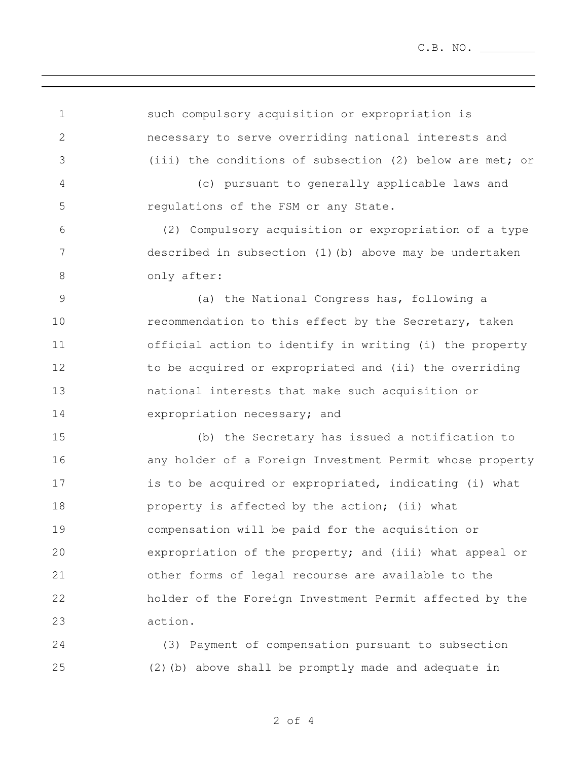such compulsory acquisition or expropriation is necessary to serve overriding national interests and (iii) the conditions of subsection (2) below are met; or (c) pursuant to generally applicable laws and regulations of the FSM or any State. (2) Compulsory acquisition or expropriation of a type described in subsection (1)(b) above may be undertaken 8 only after: (a) the National Congress has, following a **recommendation to this effect by the Secretary, taken**  official action to identify in writing (i) the property 12 to be acquired or expropriated and (ii) the overriding national interests that make such acquisition or expropriation necessary; and (b) the Secretary has issued a notification to any holder of a Foreign Investment Permit whose property 17 is to be acquired or expropriated, indicating (i) what **property is affected by the action;** (ii) what compensation will be paid for the acquisition or expropriation of the property; and (iii) what appeal or other forms of legal recourse are available to the holder of the Foreign Investment Permit affected by the action. (3) Payment of compensation pursuant to subsection

(2)(b) above shall be promptly made and adequate in

of 4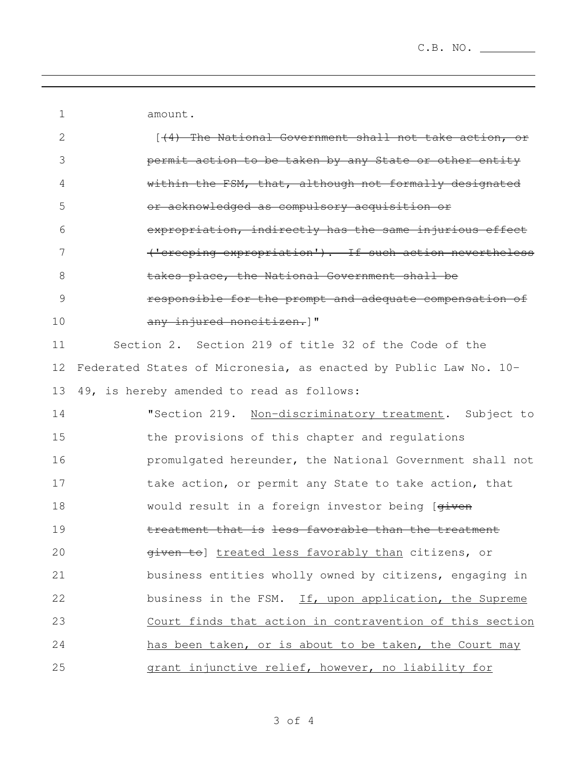amount.

| $\overline{2}$ | [44) The National Government shall not take action, or           |
|----------------|------------------------------------------------------------------|
| 3              | permit action to be taken by any State or other entity           |
| 4              | within the FSM, that, although not formally designated           |
| 5              | or acknowledged as compulsory acquisition or                     |
| 6              | expropriation, indirectly has the same injurious effect          |
| 7              | ('creeping expropriation'). If such action nevertheless          |
| 8              | takes place, the National Government shall be                    |
| $\mathcal{G}$  | responsible for the prompt and adequate compensation of          |
| 10             | any injured noncitizen. I"                                       |
| 11             | Section 2. Section 219 of title 32 of the Code of the            |
| 12             | Federated States of Micronesia, as enacted by Public Law No. 10- |
| 13             | 49, is hereby amended to read as follows:                        |
| 14             | "Section 219. Non-discriminatory treatment. Subject to           |
| 15             | the provisions of this chapter and regulations                   |
| 16             | promulgated hereunder, the National Government shall not         |
| 17             | take action, or permit any State to take action, that            |
| 18             | would result in a foreign investor being [given                  |
| 19             | treatment that is less favorable than the treatment              |
| 20             | given to] treated less favorably than citizens, or               |
| 21             | business entities wholly owned by citizens, engaging in          |
| 22             | business in the FSM. If, upon application, the Supreme           |
| 23             | Court finds that action in contravention of this section         |
| 24             | has been taken, or is about to be taken, the Court may           |
| 25             | grant injunctive relief, however, no liability for               |

of 4